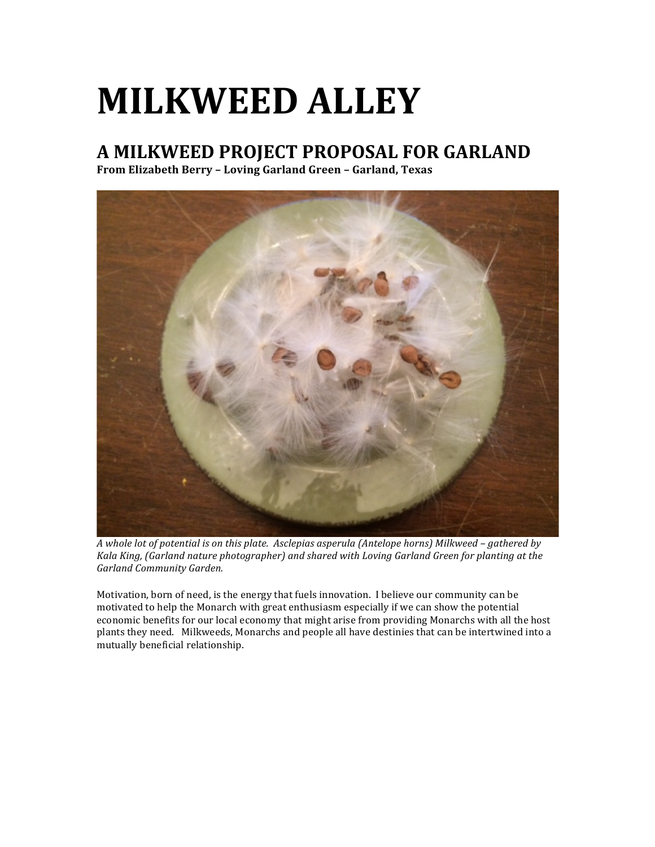# **MILKWEED ALLEY**

## **A MILKWEED PROJECT PROPOSAL FOR GARLAND**

**From Elizabeth Berry – Loving Garland Green – Garland, Texas**



*A* whole lot of potential is on this plate. Asclepias asperula (Antelope horns) Milkweed – gathered by *Kala King, (Garland nature photographer)* and shared with Loving Garland Green for planting at the *Garland Community Garden.*

Motivation, born of need, is the energy that fuels innovation. I believe our community can be motivated to help the Monarch with great enthusiasm especially if we can show the potential economic benefits for our local economy that might arise from providing Monarchs with all the host plants they need. Milkweeds, Monarchs and people all have destinies that can be intertwined into a mutually beneficial relationship.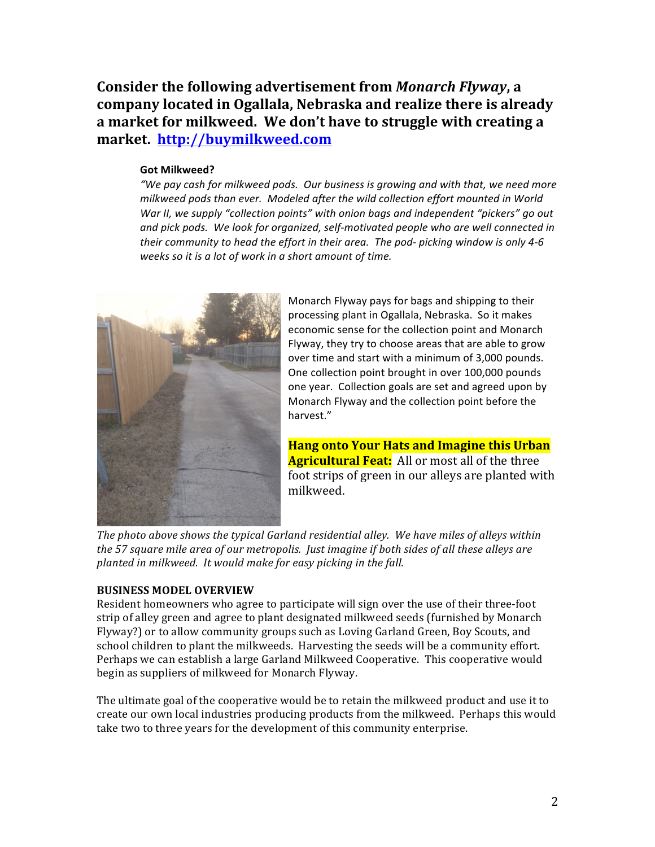Consider the following advertisement from *Monarch Flyway*, a company located in Ogallala, Nebraska and realize there is already a market for milkweed. We don't have to struggle with creating a **market. http://buymilkweed.com**

#### **Got Milkweed?**

"We pay cash for milkweed pods. Our business is growing and with that, we need more milkweed pods than ever. Modeled after the wild collection effort mounted in World War II, we supply "collection points" with onion bags and independent "pickers" go out and pick pods. We look for organized, self-motivated people who are well connected in their community to head the effort in their area. The pod- picking window is only 4-6 weeks so it is a lot of work in a short amount of time.



Monarch Flyway pays for bags and shipping to their processing plant in Ogallala, Nebraska. So it makes economic sense for the collection point and Monarch Flyway, they try to choose areas that are able to grow over time and start with a minimum of 3,000 pounds. One collection point brought in over 100,000 pounds one year. Collection goals are set and agreed upon by Monarch Flyway and the collection point before the harvest."

**Hang onto Your Hats and Imagine this Urban Agricultural Feat:** All or most all of the three foot strips of green in our alleys are planted with milkweed.

The photo above shows the typical Garland residential alley. We have miles of alleys within the 57 square mile area of our metropolis. Just imagine if both sides of all these alleys are planted in milkweed. It would make for easy picking in the fall.

### **BUSINESS MODEL OVERVIEW**

Resident homeowners who agree to participate will sign over the use of their three-foot strip of alley green and agree to plant designated milkweed seeds (furnished by Monarch Flyway?) or to allow community groups such as Loving Garland Green, Boy Scouts, and school children to plant the milkweeds. Harvesting the seeds will be a community effort. Perhaps we can establish a large Garland Milkweed Cooperative. This cooperative would begin as suppliers of milkweed for Monarch Flyway.

The ultimate goal of the cooperative would be to retain the milkweed product and use it to create our own local industries producing products from the milkweed. Perhaps this would take two to three years for the development of this community enterprise.